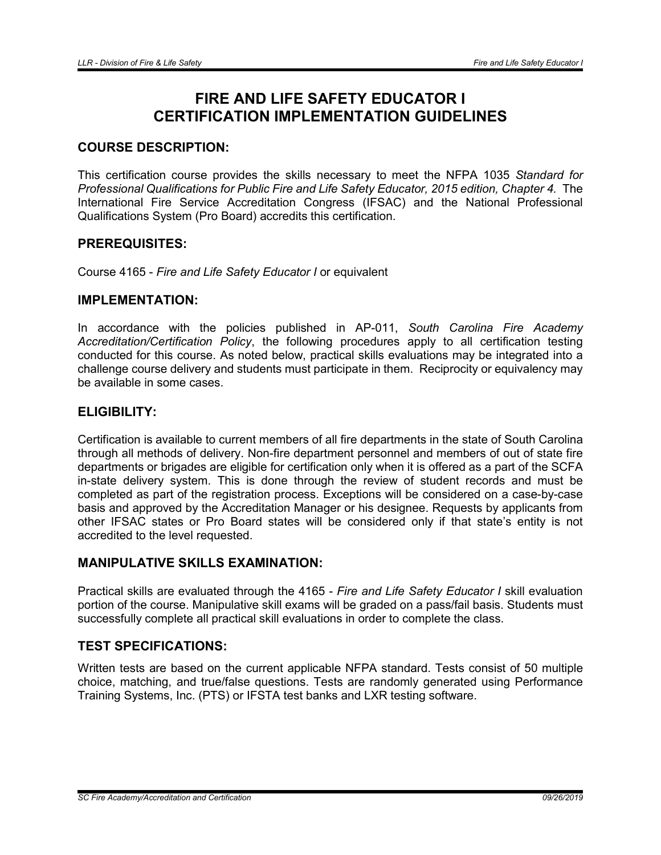# FIRE AND LIFE SAFETY EDUCATOR I CERTIFICATION IMPLEMENTATION GUIDELINES

# COURSE DESCRIPTION:

This certification course provides the skills necessary to meet the NFPA 1035 *Standard for Professional Qualifications for Public Fire and Life Safety Educator, 2015 edition, Chapter 4.* The International Fire Service Accreditation Congress (IFSAC) and the National Professional Qualifications System (Pro Board) accredits this certification.

# PREREQUISITES:

Course 4165 - *Fire and Life Safety Educator I* or equivalent

### IMPI FMFNTATION:

In accordance with the policies published in AP-011, *South Carolina Fire Academy Accreditation/Certification Policy*, the following procedures apply to all certification testing conducted for this course. As noted below, practical skills evaluations may be integrated into a challenge course delivery and students must participate in them. Reciprocity or equivalency may be available in some cases.

# ELIGIBILITY:

Certification is available to current members of all fire departments in the state of South Carolina through all methods of delivery. Non-fire department personnel and members of out of state fire departments or brigades are eligible for certification only when it is offered as a part of the SCFA in-state delivery system. This is done through the review of student records and must be completed as part of the registration process. Exceptions will be considered on a case-by-case basis and approved by the Accreditation Manager or his designee. Requests by applicants from other IFSAC states or Pro Board states will be considered only if that state's entity is not accredited to the level requested.

# MANIPULATIVE SKILLS EXAMINATION:

Practical skills are evaluated through the 4165 - *Fire and Life Safety Educator I* skill evaluation portion of the course. Manipulative skill exams will be graded on a pass/fail basis. Students must successfully complete all practical skill evaluations in order to complete the class.

# TEST SPECIFICATIONS:

Written tests are based on the current applicable NFPA standard. Tests consist of 50 multiple choice, matching, and true/false questions. Tests are randomly generated using Performance Training Systems, Inc. (PTS) or IFSTA test banks and LXR testing software.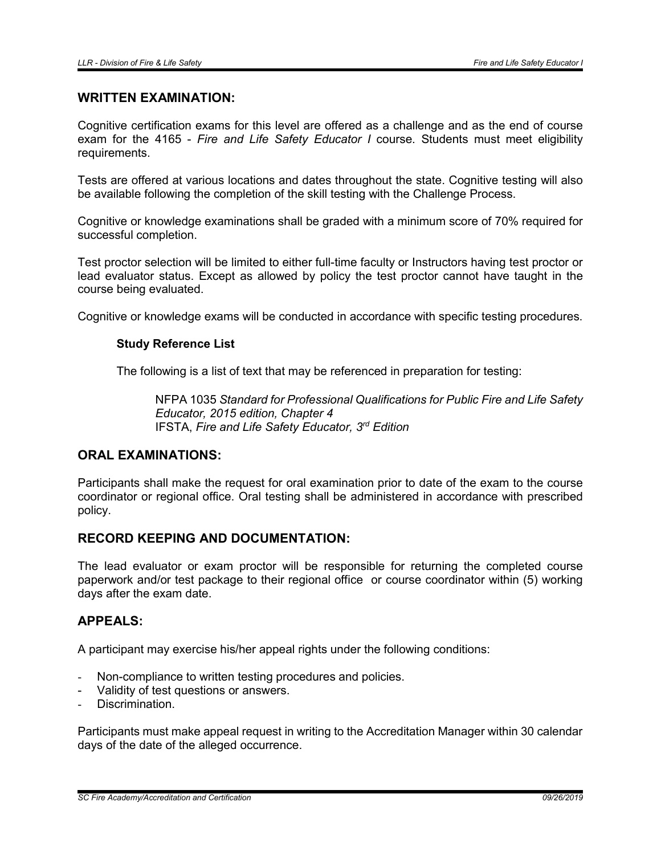## WRITTEN EXAMINATION:

Cognitive certification exams for this level are offered as a challenge and as the end of course exam for the 4165 - *Fire and Life Safety Educator I* course. Students must meet eligibility requirements.

Tests are offered at various locations and dates throughout the state. Cognitive testing will also be available following the completion of the skill testing with the Challenge Process.

Cognitive or knowledge examinations shall be graded with a minimum score of 70% required for successful completion.

Test proctor selection will be limited to either full-time faculty or Instructors having test proctor or lead evaluator status. Except as allowed by policy the test proctor cannot have taught in the course being evaluated.

Cognitive or knowledge exams will be conducted in accordance with specific testing procedures.

### Study Reference List

The following is a list of text that may be referenced in preparation for testing:

NFPA 1035 *Standard for Professional Qualifications for Public Fire and Life Safety Educator, 2015 edition, Chapter 4* IFSTA, *Fire and Life Safety Educator, 3rd Edition*

## ORAL EXAMINATIONS:

Participants shall make the request for oral examination prior to date of the exam to the course coordinator or regional office. Oral testing shall be administered in accordance with prescribed policy.

## RECORD KEEPING AND DOCUMENTATION:

The lead evaluator or exam proctor will be responsible for returning the completed course paperwork and/or test package to their regional office or course coordinator within (5) working days after the exam date.

### APPEALS:

A participant may exercise his/her appeal rights under the following conditions:

- Non-compliance to written testing procedures and policies.
- Validity of test questions or answers.
- Discrimination.

Participants must make appeal request in writing to the Accreditation Manager within 30 calendar days of the date of the alleged occurrence.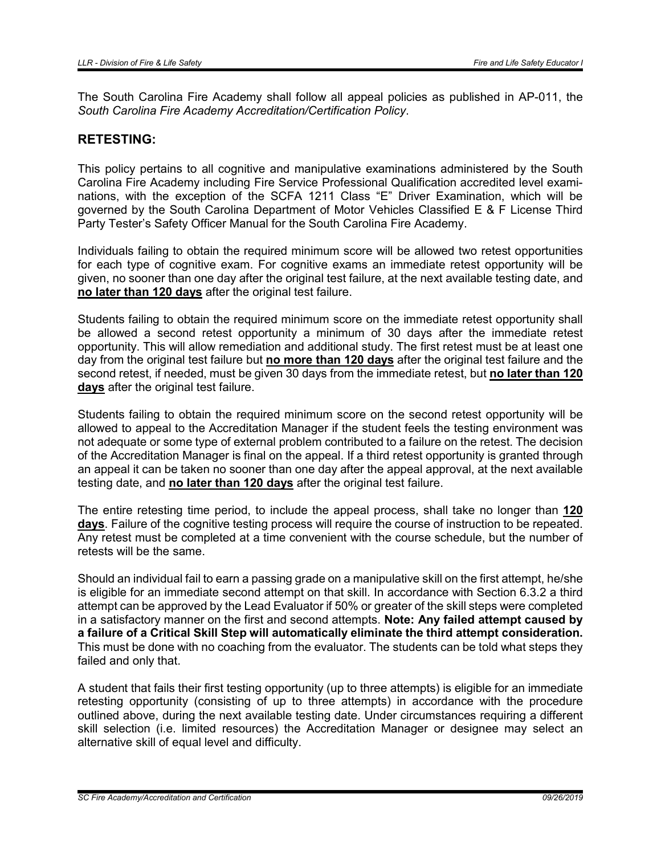The South Carolina Fire Academy shall follow all appeal policies as published in AP-011, the *South Carolina Fire Academy Accreditation/Certification Policy*.

## RETESTING:

This policy pertains to all cognitive and manipulative examinations administered by the South Carolina Fire Academy including Fire Service Professional Qualification accredited level examinations, with the exception of the SCFA 1211 Class "E" Driver Examination, which will be governed by the South Carolina Department of Motor Vehicles Classified E & F License Third Party Tester's Safety Officer Manual for the South Carolina Fire Academy.

Individuals failing to obtain the required minimum score will be allowed two retest opportunities for each type of cognitive exam. For cognitive exams an immediate retest opportunity will be given, no sooner than one day after the original test failure, at the next available testing date, and no later than 120 days after the original test failure.

Students failing to obtain the required minimum score on the immediate retest opportunity shall be allowed a second retest opportunity a minimum of 30 days after the immediate retest opportunity. This will allow remediation and additional study. The first retest must be at least one day from the original test failure but no more than 120 days after the original test failure and the second retest, if needed, must be given 30 days from the immediate retest, but no later than 120 days after the original test failure.

Students failing to obtain the required minimum score on the second retest opportunity will be allowed to appeal to the Accreditation Manager if the student feels the testing environment was not adequate or some type of external problem contributed to a failure on the retest. The decision of the Accreditation Manager is final on the appeal. If a third retest opportunity is granted through an appeal it can be taken no sooner than one day after the appeal approval, at the next available testing date, and no later than 120 days after the original test failure.

The entire retesting time period, to include the appeal process, shall take no longer than 120 days. Failure of the cognitive testing process will require the course of instruction to be repeated. Any retest must be completed at a time convenient with the course schedule, but the number of retests will be the same.

Should an individual fail to earn a passing grade on a manipulative skill on the first attempt, he/she is eligible for an immediate second attempt on that skill. In accordance with Section 6.3.2 a third attempt can be approved by the Lead Evaluator if 50% or greater of the skill steps were completed in a satisfactory manner on the first and second attempts. Note: Any failed attempt caused by a failure of a Critical Skill Step will automatically eliminate the third attempt consideration. This must be done with no coaching from the evaluator. The students can be told what steps they failed and only that.

A student that fails their first testing opportunity (up to three attempts) is eligible for an immediate retesting opportunity (consisting of up to three attempts) in accordance with the procedure outlined above, during the next available testing date. Under circumstances requiring a different skill selection (i.e. limited resources) the Accreditation Manager or designee may select an alternative skill of equal level and difficulty.